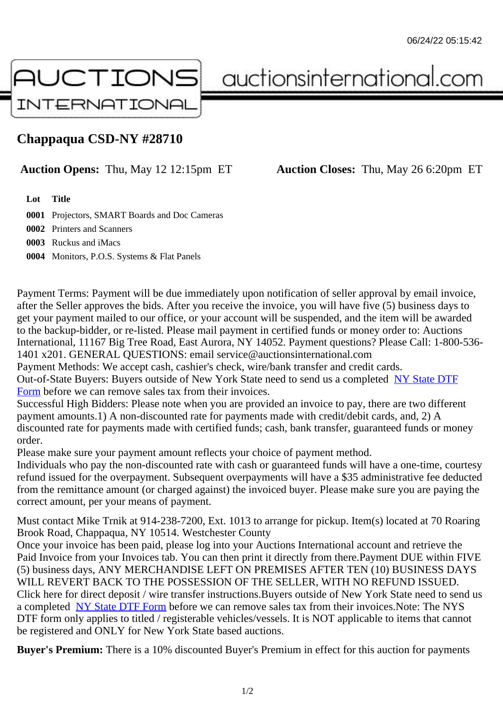## Chappaqua CSD-NY #28710

## Auction Opens: Thu, May 12 12:15pm ET Auction Closes: Thu, May 26 6:20pm ET

Lot Title

0001 Projectors, SMART Boards and Doc Cameras

0002 Printers and Scanners

0003 Ruckus and iMacs

0004 Monitors, P.O.S. Systems & Flat Panels

Payment Terms: Payment will be due immediately upon notification of seller approval by email invoice, after the Seller approves the bids. After you receive the invoice, you will have five (5) business days to get your payment mailed to our office, or your account will be suspended, and the item will be awarded to the backup-bidder, or re-listed. Please mail payment in certified funds or money order to: Auctions International, 11167 Big Tree Road, East Aurora, NY 14052. Payment questions? Please Call: 1-800-53 1401 x201. GENERAL QUESTIONS: email service@auctionsinternational.com

Payment Methods: We accept cash, cashier's check, wire/bank transfer and credit cards.

Out-of-State Buyers: Buyers outside of New York State need to send us a com blestate DTF Form before we can remove sales tax from their invoices.

Successful High Bidders: Please note when you are provided an invoice to pay, there are two different payment amounts.1) A non-discounted rate for payments made with credit/de[bit cards, and](https://www.auctionsinternational.com/auxiliary/downloads/DTF_Form/dtf_fill_in.pdf), 2) A [disco](https://www.auctionsinternational.com/auxiliary/downloads/DTF_Form/dtf_fill_in.pdf)unted rate for payments made with certified funds; cash, bank transfer, guaranteed funds or mone order.

Please make sure your payment amount reflects your choice of payment method.

Individuals who pay the non-discounted rate with cash or guaranteed funds will have a one-time, courte refund issued for the overpayment. Subsequent overpayments will have a \$35 administrative fee deduc from the remittance amount (or charged against) the invoiced buyer. Please make sure you are paying correct amount, per your means of payment.

Must contact Mike Trnik at 914-238-7200, Ext. 1013 to arrange for pickup. Item(s) located at 70 Roaring Brook Road, Chappaqua, NY 10514. Westchester County

Once your invoice has been paid, please log into your Auctions International account and retrieve the Paid Invoice from your Invoices tab. You can then print it directly from there. Payment DUE within FIVE (5) business days, ANY MERCHANDISE LEFT ON PREMISES AFTER TEN (10) BUSINESS DAYS WILL REVERT BACK TO THE POSSESSION OF THE SELLER, WITH NO REFUND ISSUED. Click here for direct deposit / wire transfer instructions. Buyers outside of New York State need to send use a completed NY State DTF Form before we can remove sales tax from their invoices. Note: The NYS DTF form only applies to titled / registerable vehicles/vessels. It is NOT applicable to items that cannot be registered and ONLY for New York State based auctions.

Buyer's Pre[mium: There is a 10](https://www.auctionsinternational.com/auxiliary/downloads/DTF_Form/dtf_fill_in.pdf)% discounted Buyer's Premium in effect for this auction for payments